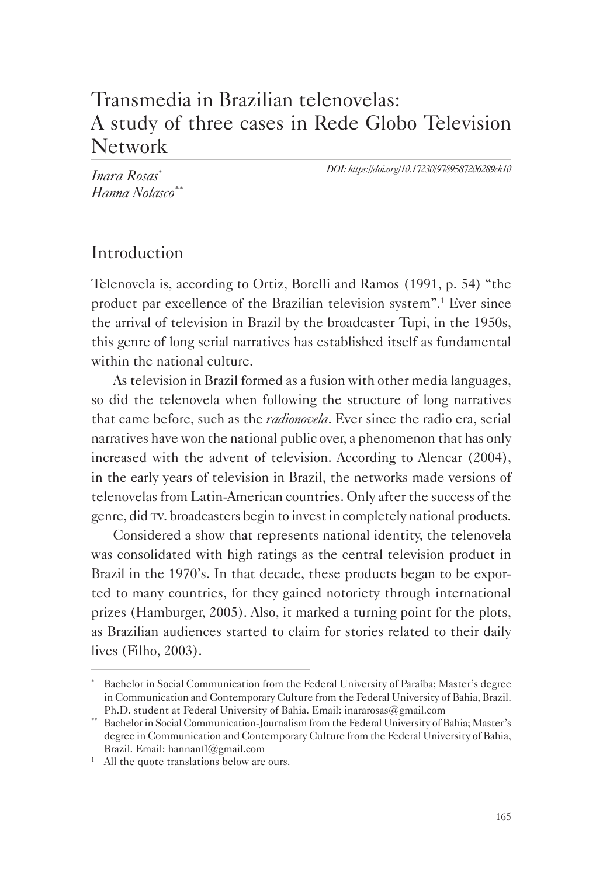# Transmedia in Brazilian telenovelas: A study of three cases in Rede Globo Television Network

*DOI: https://doi.org/10.17230/9789587206289ch10*

*Inara Rosas*\* *Hanna Nolasco*\*\*

## Introduction

Telenovela is, according to Ortiz, Borelli and Ramos (1991, p. 54) "the product par excellence of the Brazilian television system".1 Ever since the arrival of television in Brazil by the broadcaster Tupi, in the 1950s, this genre of long serial narratives has established itself as fundamental within the national culture.

As television in Brazil formed as a fusion with other media languages, so did the telenovela when following the structure of long narratives that came before, such as the *radionovela*. Ever since the radio era, serial narratives have won the national public over, a phenomenon that has only increased with the advent of television. According to Alencar (2004), in the early years of television in Brazil, the networks made versions of telenovelas from Latin-American countries. Only after the success of the genre, did tv. broadcasters begin to invest in completely national products.

Considered a show that represents national identity, the telenovela was consolidated with high ratings as the central television product in Brazil in the 1970's. In that decade, these products began to be exported to many countries, for they gained notoriety through international prizes (Hamburger, 2005). Also, it marked a turning point for the plots, as Brazilian audiences started to claim for stories related to their daily lives (Filho, 2003).

Bachelor in Social Communication from the Federal University of Paraíba; Master's degree in Communication and Contemporary Culture from the Federal University of Bahia, Brazil. Ph.D. student at Federal University of Bahia. Email: inararosas@gmail.com

<sup>\*\*</sup> Bachelor in Social Communication-Journalism from the Federal University of Bahia; Master's degree in Communication and Contemporary Culture from the Federal University of Bahia, Brazil. Email: hannanfl@gmail.com

<sup>&</sup>lt;sup>1</sup> All the quote translations below are ours.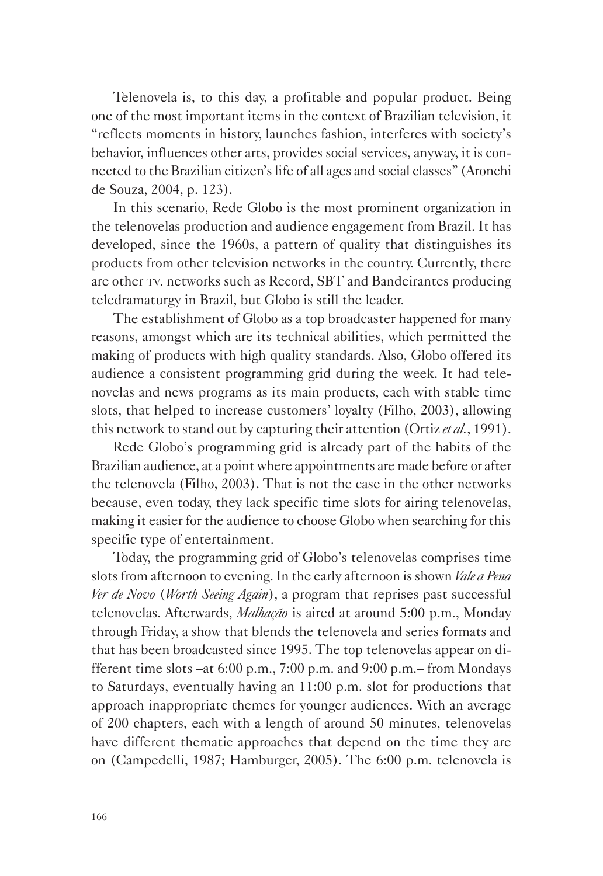Telenovela is, to this day, a profitable and popular product. Being one of the most important items in the context of Brazilian television, it "reflects moments in history, launches fashion, interferes with society's behavior, influences other arts, provides social services, anyway, it is connected to the Brazilian citizen's life of all ages and social classes" (Aronchi de Souza, 2004, p. 123).

In this scenario, Rede Globo is the most prominent organization in the telenovelas production and audience engagement from Brazil. It has developed, since the 1960s, a pattern of quality that distinguishes its products from other television networks in the country. Currently, there are other tv. networks such as Record, SBT and Bandeirantes producing teledramaturgy in Brazil, but Globo is still the leader.

The establishment of Globo as a top broadcaster happened for many reasons, amongst which are its technical abilities, which permitted the making of products with high quality standards. Also, Globo offered its audience a consistent programming grid during the week. It had telenovelas and news programs as its main products, each with stable time slots, that helped to increase customers' loyalty (Filho, 2003), allowing this network to stand out by capturing their attention (Ortiz *et al.*, 1991).

Rede Globo's programming grid is already part of the habits of the Brazilian audience, at a point where appointments are made before or after the telenovela (Filho, 2003). That is not the case in the other networks because, even today, they lack specific time slots for airing telenovelas, making it easier for the audience to choose Globo when searching for this specific type of entertainment.

Today, the programming grid of Globo's telenovelas comprises time slots from afternoon to evening. In the early afternoon is shown *Vale a Pena Ver de Novo* (*Worth Seeing Again*), a program that reprises past successful telenovelas. Afterwards, *Malhação* is aired at around 5:00 p.m., Monday through Friday, a show that blends the telenovela and series formats and that has been broadcasted since 1995. The top telenovelas appear on different time slots –at 6:00 p.m., 7:00 p.m. and 9:00 p.m.– from Mondays to Saturdays, eventually having an 11:00 p.m. slot for productions that approach inappropriate themes for younger audiences. With an average of 200 chapters, each with a length of around 50 minutes, telenovelas have different thematic approaches that depend on the time they are on (Campedelli, 1987; Hamburger, 2005). The 6:00 p.m. telenovela is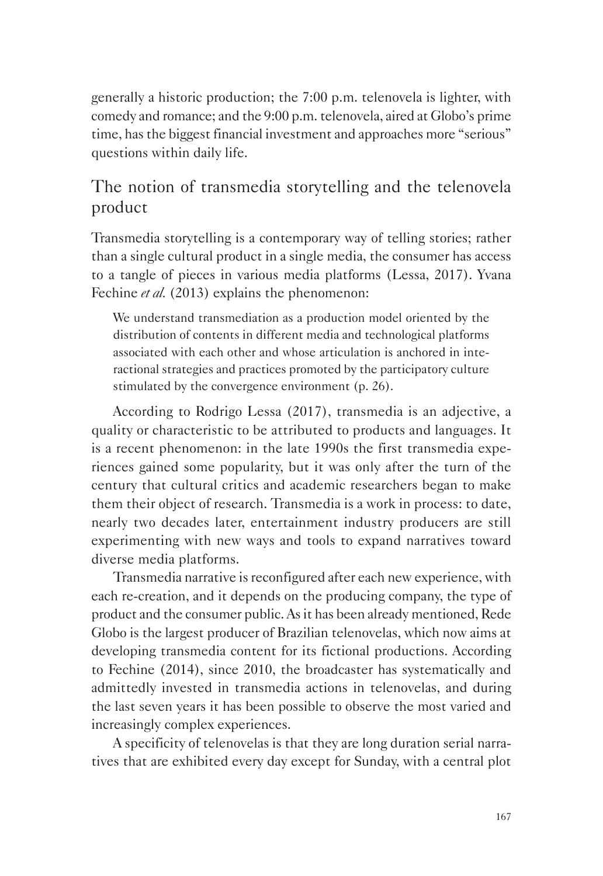generally a historic production; the 7:00 p.m. telenovela is lighter, with comedy and romance; and the 9:00 p.m. telenovela, aired at Globo's prime time, has the biggest financial investment and approaches more "serious" questions within daily life.

## The notion of transmedia storytelling and the telenovela product

Transmedia storytelling is a contemporary way of telling stories; rather than a single cultural product in a single media, the consumer has access to a tangle of pieces in various media platforms (Lessa, 2017). Yvana Fechine *et al.* (2013) explains the phenomenon:

We understand transmediation as a production model oriented by the distribution of contents in different media and technological platforms associated with each other and whose articulation is anchored in interactional strategies and practices promoted by the participatory culture stimulated by the convergence environment (p. 26).

According to Rodrigo Lessa (2017), transmedia is an adjective, a quality or characteristic to be attributed to products and languages. It is a recent phenomenon: in the late 1990s the first transmedia experiences gained some popularity, but it was only after the turn of the century that cultural critics and academic researchers began to make them their object of research. Transmedia is a work in process: to date, nearly two decades later, entertainment industry producers are still experimenting with new ways and tools to expand narratives toward diverse media platforms.

Transmedia narrative is reconfigured after each new experience, with each re-creation, and it depends on the producing company, the type of product and the consumer public. As it has been already mentioned, Rede Globo is the largest producer of Brazilian telenovelas, which now aims at developing transmedia content for its fictional productions. According to Fechine (2014), since 2010, the broadcaster has systematically and admittedly invested in transmedia actions in telenovelas, and during the last seven years it has been possible to observe the most varied and increasingly complex experiences.

A specificity of telenovelas is that they are long duration serial narratives that are exhibited every day except for Sunday, with a central plot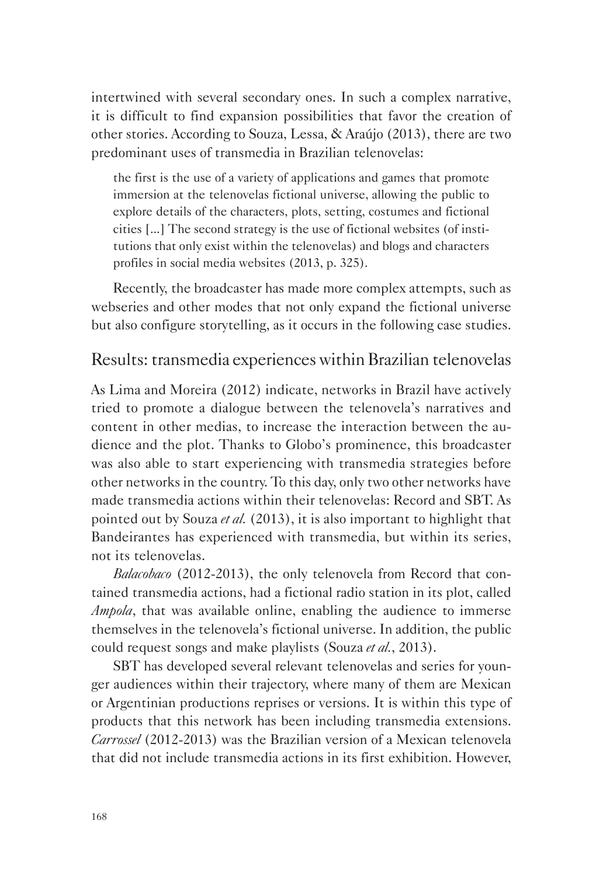intertwined with several secondary ones. In such a complex narrative, it is difficult to find expansion possibilities that favor the creation of other stories. According to Souza, Lessa, & Araújo (2013), there are two predominant uses of transmedia in Brazilian telenovelas:

the first is the use of a variety of applications and games that promote immersion at the telenovelas fictional universe, allowing the public to explore details of the characters, plots, setting, costumes and fictional cities [...] The second strategy is the use of fictional websites (of institutions that only exist within the telenovelas) and blogs and characters profiles in social media websites (2013, p. 325).

Recently, the broadcaster has made more complex attempts, such as webseries and other modes that not only expand the fictional universe but also configure storytelling, as it occurs in the following case studies.

#### Results: transmedia experiences within Brazilian telenovelas

As Lima and Moreira (2012) indicate, networks in Brazil have actively tried to promote a dialogue between the telenovela's narratives and content in other medias, to increase the interaction between the audience and the plot. Thanks to Globo's prominence, this broadcaster was also able to start experiencing with transmedia strategies before other networks in the country. To this day, only two other networks have made transmedia actions within their telenovelas: Record and SBT. As pointed out by Souza *et al.* (2013), it is also important to highlight that Bandeirantes has experienced with transmedia, but within its series, not its telenovelas.

*Balacobaco* (2012-2013), the only telenovela from Record that contained transmedia actions, had a fictional radio station in its plot, called *Ampola*, that was available online, enabling the audience to immerse themselves in the telenovela's fictional universe. In addition, the public could request songs and make playlists (Souza *et al.*, 2013).

SBT has developed several relevant telenovelas and series for younger audiences within their trajectory, where many of them are Mexican or Argentinian productions reprises or versions. It is within this type of products that this network has been including transmedia extensions. *Carrossel* (2012-2013) was the Brazilian version of a Mexican telenovela that did not include transmedia actions in its first exhibition. However,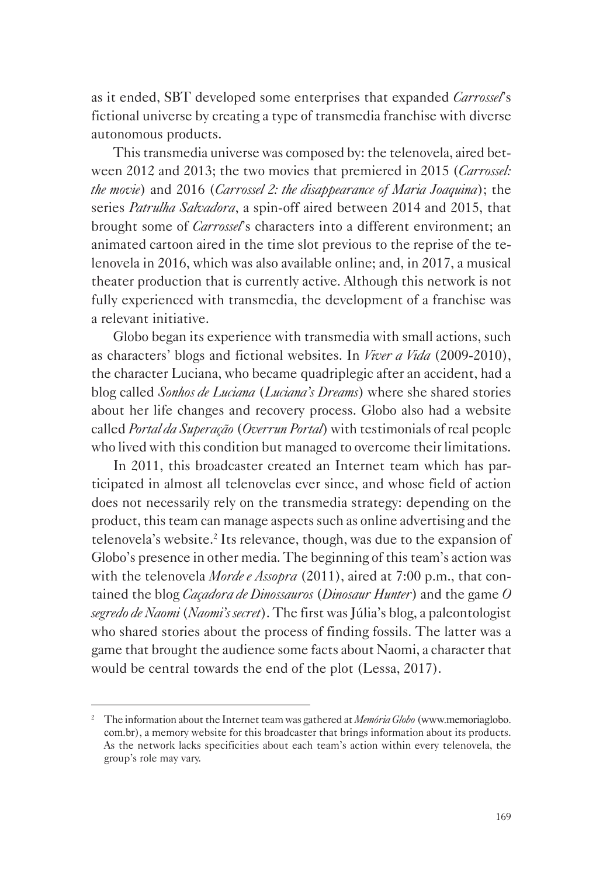as it ended, SBT developed some enterprises that expanded *Carrossel*'s fictional universe by creating a type of transmedia franchise with diverse autonomous products.

This transmedia universe was composed by: the telenovela, aired between 2012 and 2013; the two movies that premiered in 2015 (*Carrossel: the movie*) and 2016 (*Carrossel 2: the disappearance of Maria Joaquina*); the series *Patrulha Salvadora*, a spin-off aired between 2014 and 2015, that brought some of *Carrossel*'s characters into a different environment; an animated cartoon aired in the time slot previous to the reprise of the telenovela in 2016, which was also available online; and, in 2017, a musical theater production that is currently active. Although this network is not fully experienced with transmedia, the development of a franchise was a relevant initiative.

Globo began its experience with transmedia with small actions, such as characters' blogs and fictional websites. In *Viver a Vida* (2009-2010), the character Luciana, who became quadriplegic after an accident, had a blog called *Sonhos de Luciana* (*Luciana's Dreams*) where she shared stories about her life changes and recovery process. Globo also had a website called *Portal da Superação* (*Overrun Portal*) with testimonials of real people who lived with this condition but managed to overcome their limitations.

In 2011, this broadcaster created an Internet team which has participated in almost all telenovelas ever since, and whose field of action does not necessarily rely on the transmedia strategy: depending on the product, this team can manage aspects such as online advertising and the telenovela's website.<sup>2</sup> Its relevance, though, was due to the expansion of Globo's presence in other media. The beginning of this team's action was with the telenovela *Morde e Assopra* (2011), aired at 7:00 p.m., that contained the blog *Caçadora de Dinossauros* (*Dinosaur Hunter*) and the game *O segredo de Naomi* (*Naomi's secret*). The first was Júlia's blog, a paleontologist who shared stories about the process of finding fossils. The latter was a game that brought the audience some facts about Naomi, a character that would be central towards the end of the plot (Lessa, 2017).

<sup>2</sup> The information about the Internet team was gathered at *Memória Globo* (www.memoriaglobo. com.br), a memory website for this broadcaster that brings information about its products. As the network lacks specificities about each team's action within every telenovela, the group's role may vary.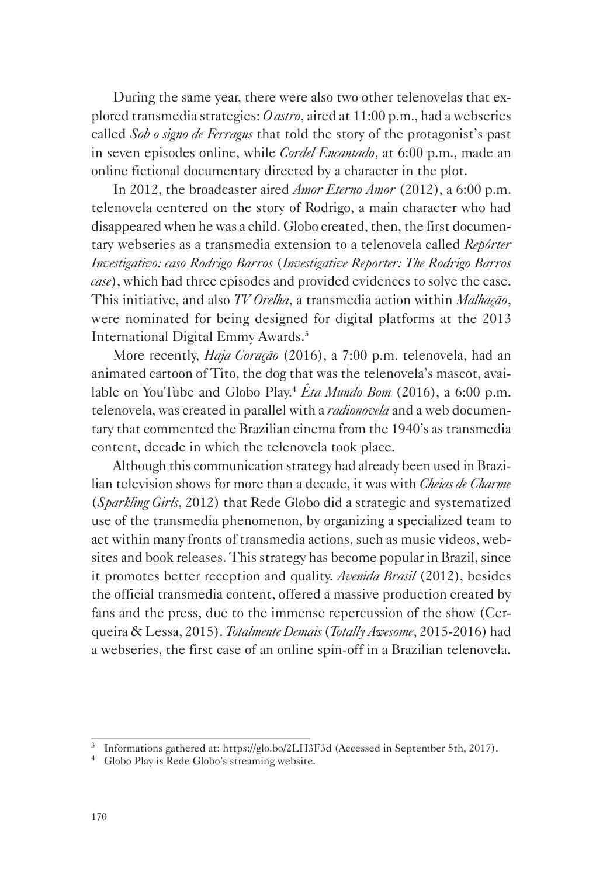During the same year, there were also two other telenovelas that explored transmedia strategies: *O astro*, aired at 11:00 p.m., had a webseries called *Sob o signo de Ferragus* that told the story of the protagonist's past in seven episodes online, while *Cordel Encantado*, at 6:00 p.m., made an online fictional documentary directed by a character in the plot.

In 2012, the broadcaster aired *Amor Eterno Amor* (2012), a 6:00 p.m. telenovela centered on the story of Rodrigo, a main character who had disappeared when he was a child. Globo created, then, the first documentary webseries as a transmedia extension to a telenovela called *Repórter Investigativo: caso Rodrigo Barros* (*Investigative Reporter: The Rodrigo Barros case*), which had three episodes and provided evidences to solve the case. This initiative, and also *TV Orelha*, a transmedia action within *Malhação*, were nominated for being designed for digital platforms at the 2013 International Digital Emmy Awards.3

More recently, *Haja Coração* (2016), a 7:00 p.m. telenovela, had an animated cartoon of Tito, the dog that was the telenovela's mascot, available on YouTube and Globo Play.4 *Êta Mundo Bom* (2016), a 6:00 p.m. telenovela, was created in parallel with a *radionovela* and a web documentary that commented the Brazilian cinema from the 1940's as transmedia content, decade in which the telenovela took place.

Although this communication strategy had already been used in Brazilian television shows for more than a decade, it was with *Cheias de Charme* (*Sparkling Girls*, 2012) that Rede Globo did a strategic and systematized use of the transmedia phenomenon, by organizing a specialized team to act within many fronts of transmedia actions, such as music videos, websites and book releases. This strategy has become popular in Brazil, since it promotes better reception and quality. *Avenida Brasil* (2012), besides the official transmedia content, offered a massive production created by fans and the press, due to the immense repercussion of the show (Cerqueira & Lessa, 2015). *Totalmente Demais* (*Totally Awesome*, 2015-2016) had a webseries, the first case of an online spin-off in a Brazilian telenovela.

<sup>&</sup>lt;sup>3</sup> Informations gathered at: https://glo.bo/2LH3F3d (Accessed in September 5th, 2017).

<sup>&</sup>lt;sup>4</sup> Globo Play is Rede Globo's streaming website.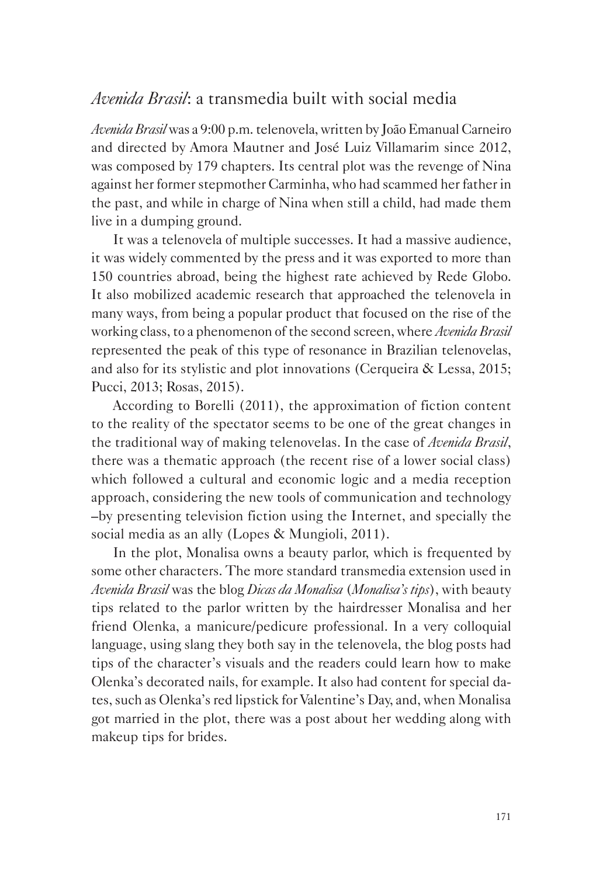#### *Avenida Brasil*: a transmedia built with social media

*Avenida Brasil* was a 9:00 p.m. telenovela, written by João Emanual Carneiro and directed by Amora Mautner and José Luiz Villamarim since 2012, was composed by 179 chapters. Its central plot was the revenge of Nina against her former stepmother Carminha, who had scammed her father in the past, and while in charge of Nina when still a child, had made them live in a dumping ground.

It was a telenovela of multiple successes. It had a massive audience, it was widely commented by the press and it was exported to more than 150 countries abroad, being the highest rate achieved by Rede Globo. It also mobilized academic research that approached the telenovela in many ways, from being a popular product that focused on the rise of the working class, to a phenomenon of the second screen, where *Avenida Brasil* represented the peak of this type of resonance in Brazilian telenovelas, and also for its stylistic and plot innovations (Cerqueira & Lessa, 2015; Pucci, 2013; Rosas, 2015).

According to Borelli (2011), the approximation of fiction content to the reality of the spectator seems to be one of the great changes in the traditional way of making telenovelas. In the case of *Avenida Brasil*, there was a thematic approach (the recent rise of a lower social class) which followed a cultural and economic logic and a media reception approach, considering the new tools of communication and technology –by presenting television fiction using the Internet, and specially the social media as an ally (Lopes & Mungioli, 2011).

In the plot, Monalisa owns a beauty parlor, which is frequented by some other characters. The more standard transmedia extension used in *Avenida Brasil* was the blog *Dicas da Monalisa* (*Monalisa's tips*), with beauty tips related to the parlor written by the hairdresser Monalisa and her friend Olenka, a manicure/pedicure professional. In a very colloquial language, using slang they both say in the telenovela, the blog posts had tips of the character's visuals and the readers could learn how to make Olenka's decorated nails, for example. It also had content for special dates, such as Olenka's red lipstick for Valentine's Day, and, when Monalisa got married in the plot, there was a post about her wedding along with makeup tips for brides.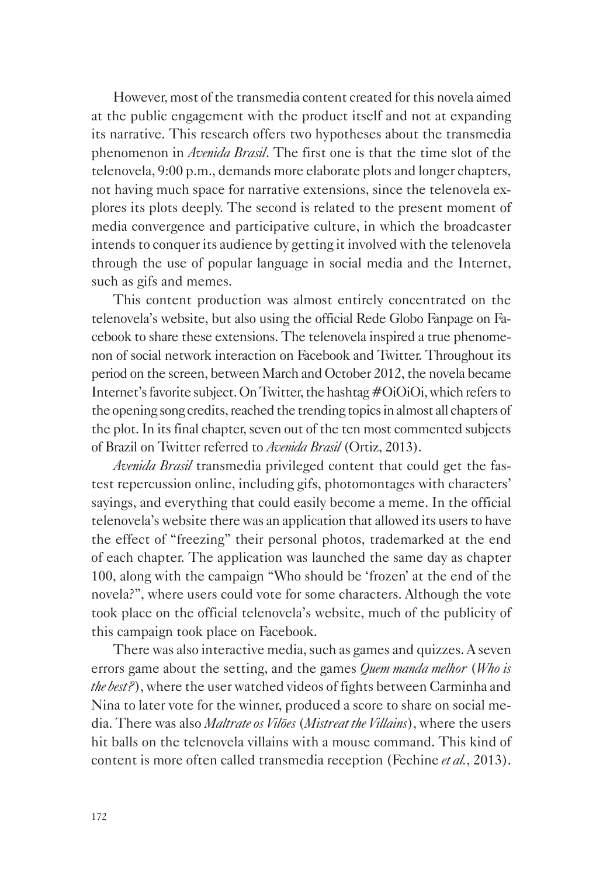However, most of the transmedia content created for this novela aimed at the public engagement with the product itself and not at expanding its narrative. This research offers two hypotheses about the transmedia phenomenon in *Avenida Brasil*. The first one is that the time slot of the telenovela, 9:00 p.m., demands more elaborate plots and longer chapters, not having much space for narrative extensions, since the telenovela explores its plots deeply. The second is related to the present moment of media convergence and participative culture, in which the broadcaster intends to conquer its audience by getting it involved with the telenovela through the use of popular language in social media and the Internet, such as gifs and memes.

This content production was almost entirely concentrated on the telenovela's website, but also using the official Rede Globo Fanpage on Facebook to share these extensions. The telenovela inspired a true phenomenon of social network interaction on Facebook and Twitter. Throughout its period on the screen, between March and October 2012, the novela became Internet's favorite subject. On Twitter, the hashtag #OiOiOi, which refers to the opening song credits, reached the trending topics in almost all chapters of the plot. In its final chapter, seven out of the ten most commented subjects of Brazil on Twitter referred to *Avenida Brasil* (Ortiz, 2013).

*Avenida Brasil* transmedia privileged content that could get the fastest repercussion online, including gifs, photomontages with characters' sayings, and everything that could easily become a meme. In the official telenovela's website there was an application that allowed its users to have the effect of "freezing" their personal photos, trademarked at the end of each chapter. The application was launched the same day as chapter 100, along with the campaign "Who should be 'frozen' at the end of the novela?", where users could vote for some characters. Although the vote took place on the official telenovela's website, much of the publicity of this campaign took place on Facebook.

There was also interactive media, such as games and quizzes. A seven errors game about the setting, and the games *Quem manda melhor* (*Who is the best?*), where the user watched videos of fights between Carminha and Nina to later vote for the winner, produced a score to share on social media. There was also *Maltrate os Vilões* (*Mistreat the Villains*), where the users hit balls on the telenovela villains with a mouse command. This kind of content is more often called transmedia reception (Fechine *et al.*, 2013).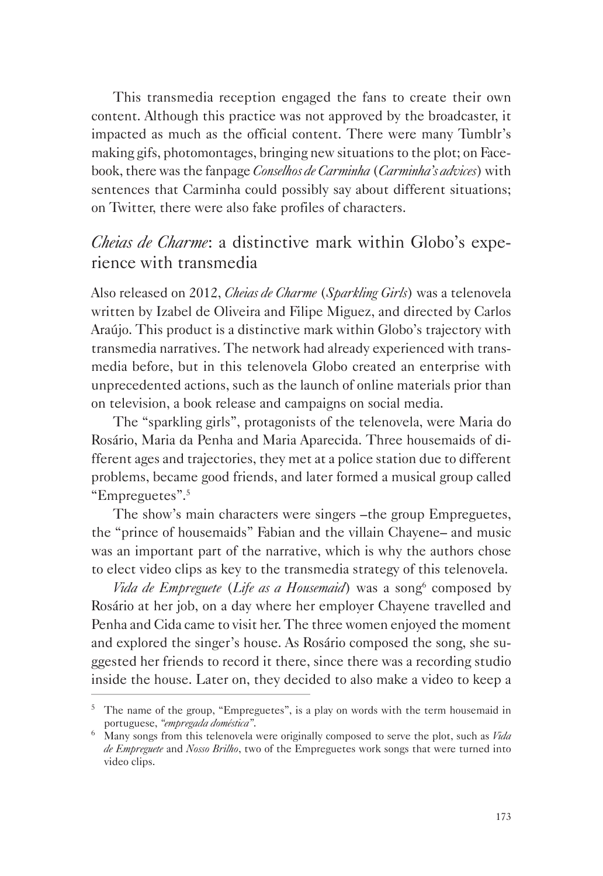This transmedia reception engaged the fans to create their own content. Although this practice was not approved by the broadcaster, it impacted as much as the official content. There were many Tumblr's making gifs, photomontages, bringing new situations to the plot; on Facebook, there was the fanpage *Conselhos de Carminha* (*Carminha's advices*) with sentences that Carminha could possibly say about different situations; on Twitter, there were also fake profiles of characters.

### *Cheias de Charme*: a distinctive mark within Globo's experience with transmedia

Also released on 2012, *Cheias de Charme* (*Sparkling Girls*) was a telenovela written by Izabel de Oliveira and Filipe Miguez, and directed by Carlos Araújo. This product is a distinctive mark within Globo's trajectory with transmedia narratives. The network had already experienced with transmedia before, but in this telenovela Globo created an enterprise with unprecedented actions, such as the launch of online materials prior than on television, a book release and campaigns on social media.

The "sparkling girls", protagonists of the telenovela, were Maria do Rosário, Maria da Penha and Maria Aparecida. Three housemaids of different ages and trajectories, they met at a police station due to different problems, became good friends, and later formed a musical group called "Empreguetes".5

The show's main characters were singers –the group Empreguetes, the "prince of housemaids" Fabian and the villain Chayene– and music was an important part of the narrative, which is why the authors chose to elect video clips as key to the transmedia strategy of this telenovela.

*Vida de Empreguete (Life as a Housemaid)* was a song<sup>6</sup> composed by Rosário at her job, on a day where her employer Chayene travelled and Penha and Cida came to visit her. The three women enjoyed the moment and explored the singer's house. As Rosário composed the song, she suggested her friends to record it there, since there was a recording studio inside the house. Later on, they decided to also make a video to keep a

<sup>&</sup>lt;sup>5</sup> The name of the group, "Empreguetes", is a play on words with the term housemaid in portuguese, *"empregada doméstica"*. 6 Many songs from this telenovela were originally composed to serve the plot, such as *Vida* 

*de Empreguete* and *Nosso Brilho*, two of the Empreguetes work songs that were turned into video clips.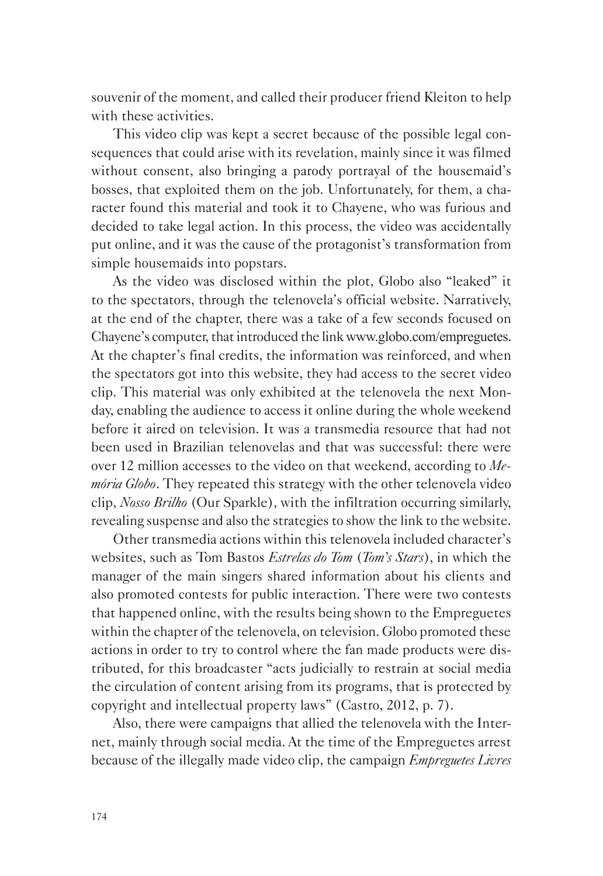souvenir of the moment, and called their producer friend Kleiton to help with these activities.

This video clip was kept a secret because of the possible legal consequences that could arise with its revelation, mainly since it was filmed without consent, also bringing a parody portrayal of the housemaid's bosses, that exploited them on the job. Unfortunately, for them, a character found this material and took it to Chayene, who was furious and decided to take legal action. In this process, the video was accidentally put online, and it was the cause of the protagonist's transformation from simple housemaids into popstars.

As the video was disclosed within the plot, Globo also "leaked" it to the spectators, through the telenovela's official website. Narratively, at the end of the chapter, there was a take of a few seconds focused on Chayene's computer, that introduced the link www.globo.com/empreguetes. At the chapter's final credits, the information was reinforced, and when the spectators got into this website, they had access to the secret video clip. This material was only exhibited at the telenovela the next Monday, enabling the audience to access it online during the whole weekend before it aired on television. It was a transmedia resource that had not been used in Brazilian telenovelas and that was successful: there were over 12 million accesses to the video on that weekend, according to *Memória Globo*. They repeated this strategy with the other telenovela video clip, *Nosso Brilho* (Our Sparkle), with the infiltration occurring similarly, revealing suspense and also the strategies to show the link to the website.

Other transmedia actions within this telenovela included character's websites, such as Tom Bastos *Estrelas do Tom* (*Tom's Stars*), in which the manager of the main singers shared information about his clients and also promoted contests for public interaction. There were two contests that happened online, with the results being shown to the Empreguetes within the chapter of the telenovela, on television. Globo promoted these actions in order to try to control where the fan made products were distributed, for this broadcaster "acts judicially to restrain at social media the circulation of content arising from its programs, that is protected by copyright and intellectual property laws" (Castro, 2012, p. 7).

Also, there were campaigns that allied the telenovela with the Internet, mainly through social media. At the time of the Empreguetes arrest because of the illegally made video clip, the campaign *Empreguetes Livres*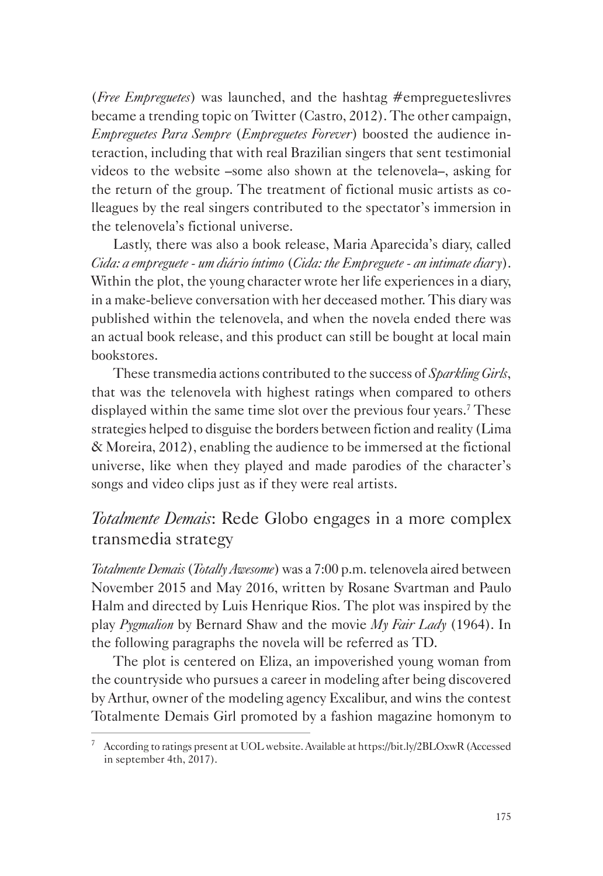(*Free Empreguetes*) was launched, and the hashtag #empregueteslivres became a trending topic on Twitter (Castro, 2012). The other campaign, *Empreguetes Para Sempre* (*Empreguetes Forever*) boosted the audience interaction, including that with real Brazilian singers that sent testimonial videos to the website –some also shown at the telenovela–, asking for the return of the group. The treatment of fictional music artists as colleagues by the real singers contributed to the spectator's immersion in the telenovela's fictional universe.

Lastly, there was also a book release, Maria Aparecida's diary, called *Cida: a empreguete - um diário íntimo* (*Cida: the Empreguete - an intimate diary*). Within the plot, the young character wrote her life experiences in a diary, in a make-believe conversation with her deceased mother. This diary was published within the telenovela, and when the novela ended there was an actual book release, and this product can still be bought at local main bookstores.

These transmedia actions contributed to the success of *Sparkling Girls*, that was the telenovela with highest ratings when compared to others displayed within the same time slot over the previous four years.<sup>7</sup> These strategies helped to disguise the borders between fiction and reality (Lima & Moreira, 2012), enabling the audience to be immersed at the fictional universe, like when they played and made parodies of the character's songs and video clips just as if they were real artists.

### *Totalmente Demais*: Rede Globo engages in a more complex transmedia strategy

*Totalmente Demais* (*Totally Awesome*) was a 7:00 p.m. telenovela aired between November 2015 and May 2016, written by Rosane Svartman and Paulo Halm and directed by Luis Henrique Rios. The plot was inspired by the play *Pygmalion* by Bernard Shaw and the movie *My Fair Lady* (1964). In the following paragraphs the novela will be referred as TD.

The plot is centered on Eliza, an impoverished young woman from the countryside who pursues a career in modeling after being discovered by Arthur, owner of the modeling agency Excalibur, and wins the contest Totalmente Demais Girl promoted by a fashion magazine homonym to

<sup>7</sup> According to ratings present at UOL website. Available at https://bit.ly/2BLOxwR (Accessed in september 4th, 2017).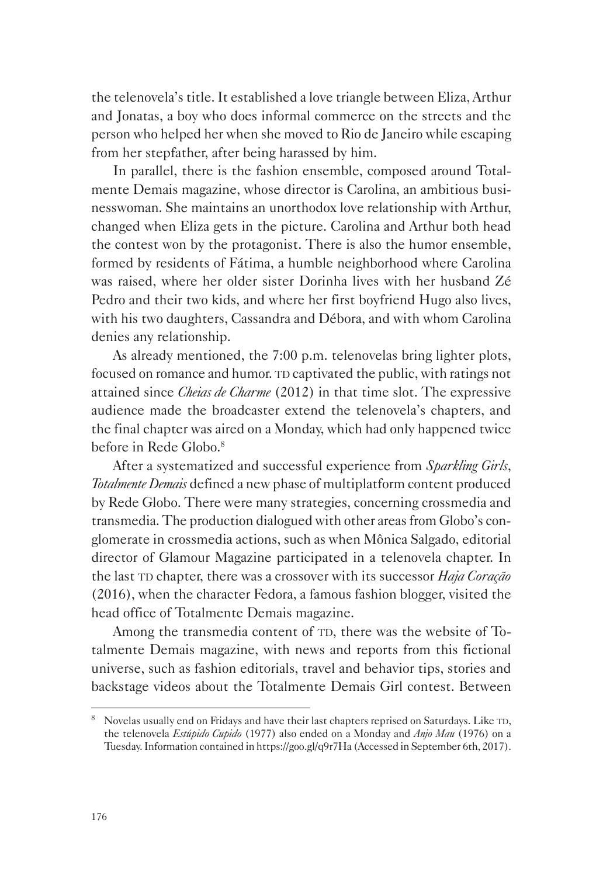the telenovela's title. It established a love triangle between Eliza, Arthur and Jonatas, a boy who does informal commerce on the streets and the person who helped her when she moved to Rio de Janeiro while escaping from her stepfather, after being harassed by him.

In parallel, there is the fashion ensemble, composed around Totalmente Demais magazine, whose director is Carolina, an ambitious businesswoman. She maintains an unorthodox love relationship with Arthur, changed when Eliza gets in the picture. Carolina and Arthur both head the contest won by the protagonist. There is also the humor ensemble, formed by residents of Fátima, a humble neighborhood where Carolina was raised, where her older sister Dorinha lives with her husband Zé Pedro and their two kids, and where her first boyfriend Hugo also lives, with his two daughters, Cassandra and Débora, and with whom Carolina denies any relationship.

As already mentioned, the 7:00 p.m. telenovelas bring lighter plots, focused on romance and humor. TD captivated the public, with ratings not attained since *Cheias de Charme* (2012) in that time slot. The expressive audience made the broadcaster extend the telenovela's chapters, and the final chapter was aired on a Monday, which had only happened twice before in Rede Globo.8

After a systematized and successful experience from *Sparkling Girls*, *Totalmente Demais* defined a new phase of multiplatform content produced by Rede Globo. There were many strategies, concerning crossmedia and transmedia. The production dialogued with other areas from Globo's conglomerate in crossmedia actions, such as when Mônica Salgado, editorial director of Glamour Magazine participated in a telenovela chapter. In the last TD chapter, there was a crossover with its successor *Haja Coração* (2016), when the character Fedora, a famous fashion blogger, visited the head office of Totalmente Demais magazine.

Among the transmedia content of TD, there was the website of Totalmente Demais magazine, with news and reports from this fictional universe, such as fashion editorials, travel and behavior tips, stories and backstage videos about the Totalmente Demais Girl contest. Between

 $8\text{ Novelas usually end on Fridays and have their last chapters reprised on Saturdays. Like TD,$ the telenovela *Estúpido Cupido* (1977) also ended on a Monday and *Anjo Mau* (1976) on a Tuesday. Information contained in https://goo.gl/q9r7Ha (Accessed in September 6th, 2017).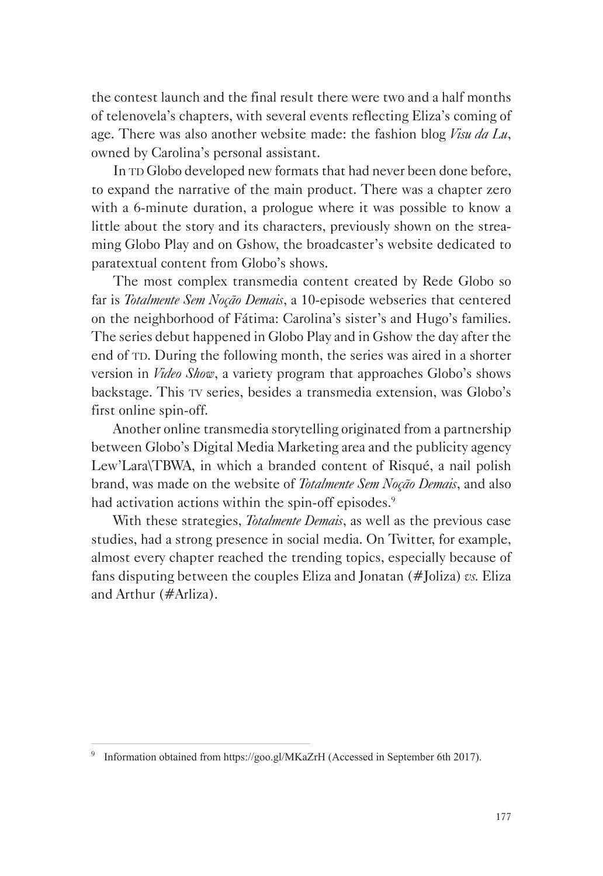the contest launch and the final result there were two and a half months of telenovela's chapters, with several events reflecting Eliza's coming of age. There was also another website made: the fashion blog *Visu da Lu*, owned by Carolina's personal assistant.

In TD Globo developed new formats that had never been done before, to expand the narrative of the main product. There was a chapter zero with a 6-minute duration, a prologue where it was possible to know a little about the story and its characters, previously shown on the streaming Globo Play and on Gshow, the broadcaster's website dedicated to paratextual content from Globo's shows.

The most complex transmedia content created by Rede Globo so far is *Totalmente Sem Noção Demais*, a 10-episode webseries that centered on the neighborhood of Fátima: Carolina's sister's and Hugo's families. The series debut happened in Globo Play and in Gshow the day after the end of TD. During the following month, the series was aired in a shorter version in *Video Show*, a variety program that approaches Globo's shows backstage. This TV series, besides a transmedia extension, was Globo's first online spin-off.

Another online transmedia storytelling originated from a partnership between Globo's Digital Media Marketing area and the publicity agency Lew'Lara\TBWA, in which a branded content of Risqué, a nail polish brand, was made on the website of *Totalmente Sem Noção Demais*, and also had activation actions within the spin-off episodes.<sup>9</sup>

With these strategies, *Totalmente Demais*, as well as the previous case studies, had a strong presence in social media. On Twitter, for example, almost every chapter reached the trending topics, especially because of fans disputing between the couples Eliza and Jonatan (#Joliza) *vs.* Eliza and Arthur (#Arliza).

<sup>9</sup> Information obtained from https://goo.gl/MKaZrH (Accessed in September 6th 2017).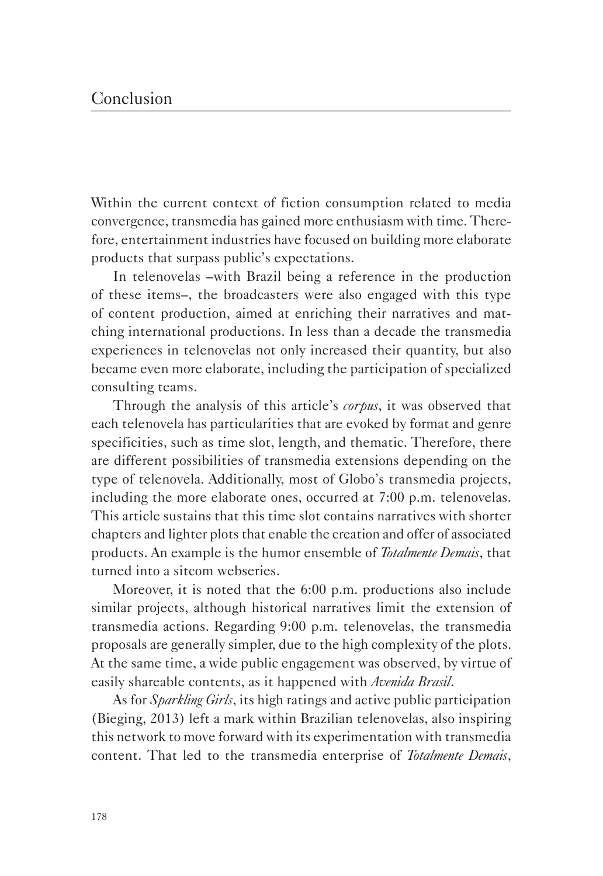#### Conclusion

Within the current context of fiction consumption related to media convergence, transmedia has gained more enthusiasm with time. Therefore, entertainment industries have focused on building more elaborate products that surpass public's expectations.

In telenovelas –with Brazil being a reference in the production of these items–, the broadcasters were also engaged with this type of content production, aimed at enriching their narratives and matching international productions. In less than a decade the transmedia experiences in telenovelas not only increased their quantity, but also became even more elaborate, including the participation of specialized consulting teams.

Through the analysis of this article's *corpus*, it was observed that each telenovela has particularities that are evoked by format and genre specificities, such as time slot, length, and thematic. Therefore, there are different possibilities of transmedia extensions depending on the type of telenovela. Additionally, most of Globo's transmedia projects, including the more elaborate ones, occurred at 7:00 p.m. telenovelas. This article sustains that this time slot contains narratives with shorter chapters and lighter plots that enable the creation and offer of associated products. An example is the humor ensemble of *Totalmente Demais*, that turned into a sitcom webseries.

Moreover, it is noted that the 6:00 p.m. productions also include similar projects, although historical narratives limit the extension of transmedia actions. Regarding 9:00 p.m. telenovelas, the transmedia proposals are generally simpler, due to the high complexity of the plots. At the same time, a wide public engagement was observed, by virtue of easily shareable contents, as it happened with *Avenida Brasil*.

As for *Sparkling Girls*, its high ratings and active public participation (Bieging, 2013) left a mark within Brazilian telenovelas, also inspiring this network to move forward with its experimentation with transmedia content. That led to the transmedia enterprise of *Totalmente Demais*,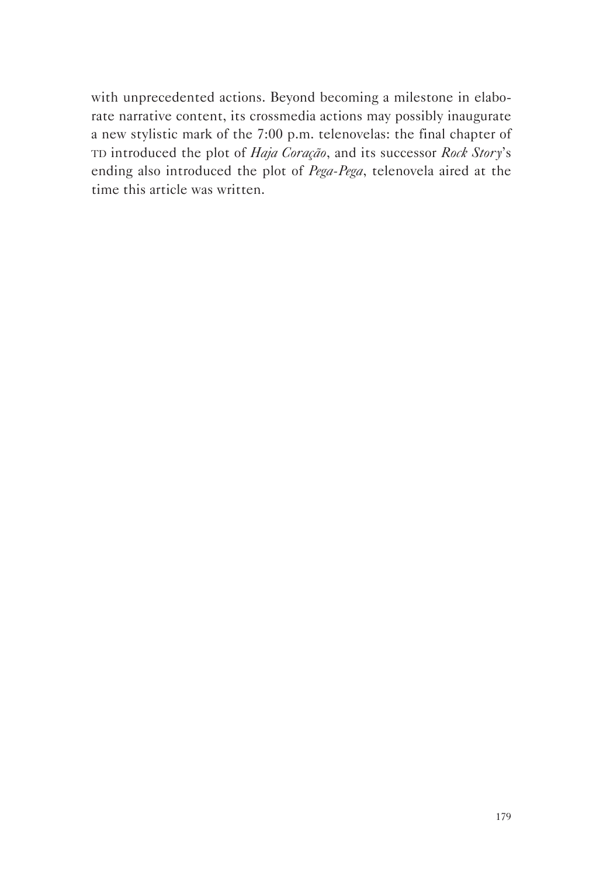with unprecedented actions. Beyond becoming a milestone in elaborate narrative content, its crossmedia actions may possibly inaugurate a new stylistic mark of the 7:00 p.m. telenovelas: the final chapter of TD introduced the plot of *Haja Coração*, and its successor *Rock Story*'s ending also introduced the plot of *Pega-Pega*, telenovela aired at the time this article was written.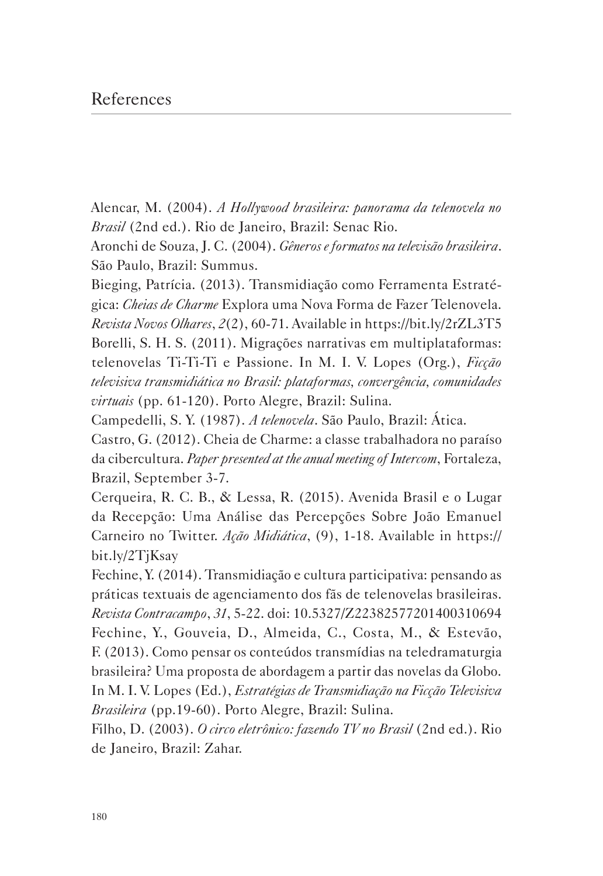#### References

Alencar, M. (2004). *A Hollywood brasileira: panorama da telenovela no Brasil* (2nd ed.). Rio de Janeiro, Brazil: Senac Rio.

Aronchi de Souza, J. C. (2004). *Gêneros e formatos na televisão brasileira*. São Paulo, Brazil: Summus.

Bieging, Patrícia. (2013). Transmidiação como Ferramenta Estratégica: *Cheias de Charme* Explora uma Nova Forma de Fazer Telenovela. *Revista Novos Olhares*, *2*(2), 60-71. Available in https://bit.ly/2rZL3T5 Borelli, S. H. S. (2011). Migrações narrativas em multiplataformas: telenovelas Ti-Ti-Ti e Passione. In M. I. V. Lopes (Org.), *Ficção televisiva transmidiática no Brasil: plataformas, convergência, comunidades virtuais* (pp. 61-120). Porto Alegre, Brazil: Sulina.

Campedelli, S. Y. (1987). *A telenovela*. São Paulo, Brazil: Ática.

Castro, G. (2012). Cheia de Charme: a classe trabalhadora no paraíso da cibercultura. *Paper presented at the anual meeting of Intercom*, Fortaleza, Brazil, September 3-7.

Cerqueira, R. C. B., & Lessa, R. (2015). Avenida Brasil e o Lugar da Recepção: Uma Análise das Percepções Sobre João Emanuel Carneiro no Twitter. *Ação Midiática*, (9), 1-18. Available in https:// bit.ly/2TjKsay

Fechine, Y. (2014). Transmidiação e cultura participativa: pensando as práticas textuais de agenciamento dos fãs de telenovelas brasileiras. *Revista Contracampo*, *31*, 5-22. doi: 10.5327/Z22382577201400310694 Fechine, Y., Gouveia, D., Almeida, C., Costa, M., & Estevão, F. (2013). Como pensar os conteúdos transmídias na teledramaturgia brasileira? Uma proposta de abordagem a partir das novelas da Globo. In M. I. V. Lopes (Ed.), *Estratégias de Transmidiação na Ficção Televisiva Brasileira* (pp.19-60). Porto Alegre, Brazil: Sulina.

Filho, D. (2003). *O circo eletrônico: fazendo TV no Brasil* (2nd ed.). Rio de Janeiro, Brazil: Zahar.